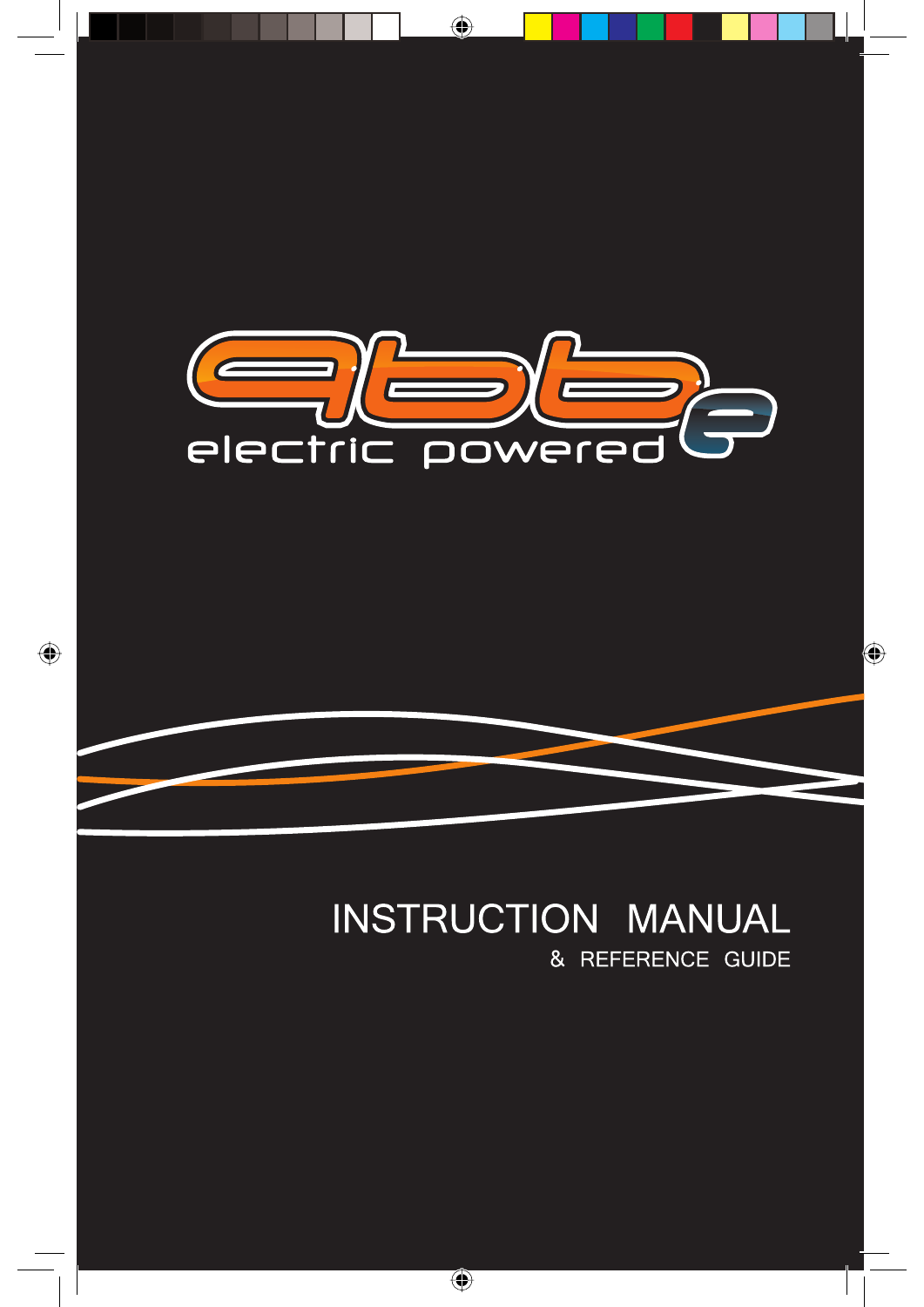

### **INSTRUCTION MANUAL** & REFERENCE GUIDE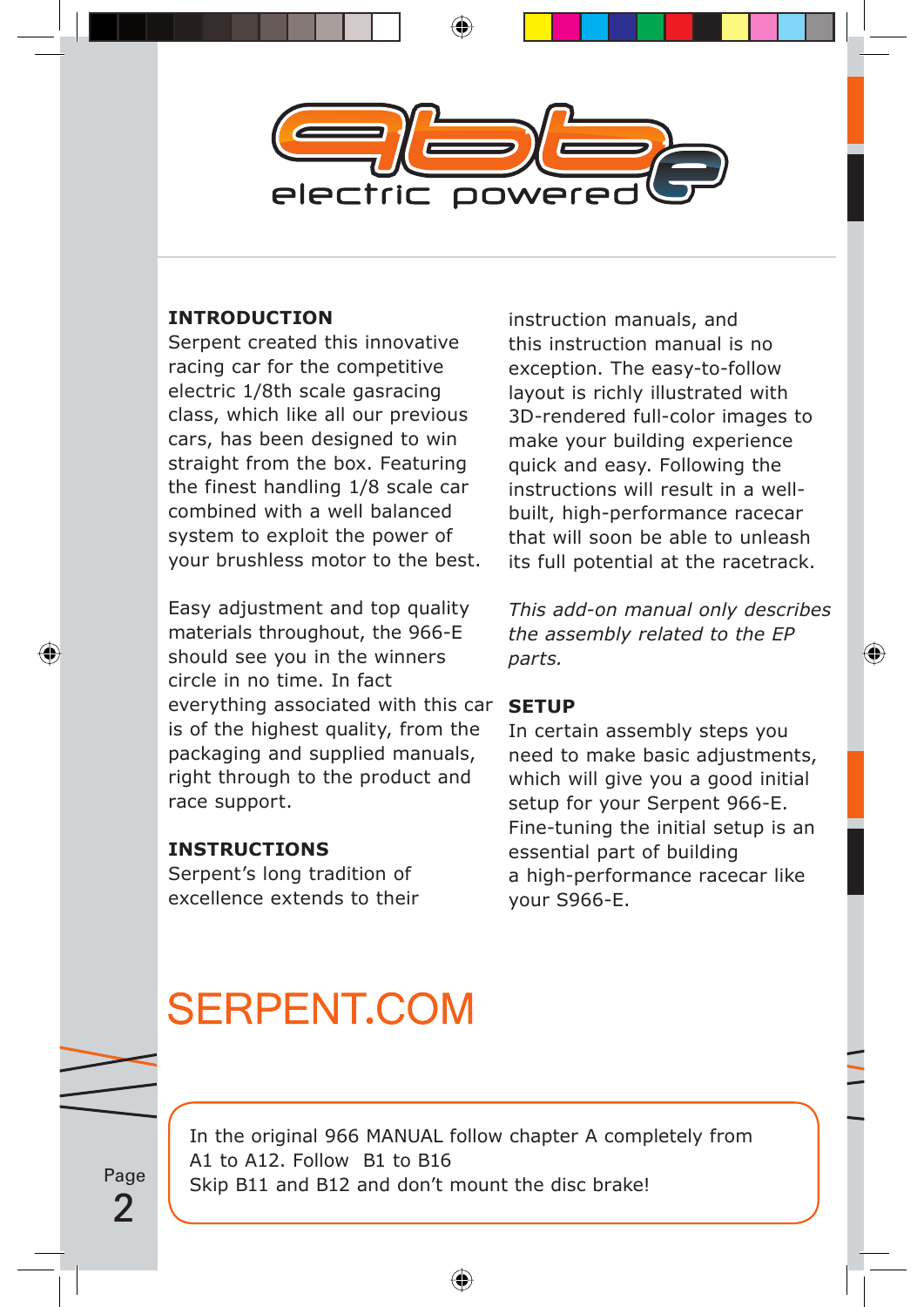

### **INTRODUCTION**

Serpent created this innovative racing car for the competitive electric 1/8th scale gasracing class, which like all our previous cars, has been designed to win straight from the box. Featuring the finest handling 1/8 scale car combined with a well balanced system to exploit the power of your brushless motor to the best.

Easy adjustment and top quality materials throughout, the 966-E should see you in the winners circle in no time. In fact everything associated with this car is of the highest quality, from the packaging and supplied manuals, right through to the product and race support.

### **INSTRUCTIONS**

Serpent's long tradition of excellence extends to their

instruction manuals, and this instruction manual is no exception. The easy-to-follow layout is richly illustrated with 3D-rendered full-color images to make your building experience quick and easy. Following the instructions will result in a wellbuilt, high-performance racecar that will soon be able to unleash its full potential at the racetrack.

*This add-on manual only describes the assembly related to the EP parts.*

#### **SETUP**

In certain assembly steps you need to make basic adjustments, which will give you a good initial setup for your Serpent 966-E. Fine-tuning the initial setup is an essential part of building a high-performance racecar like your S966-E.

# **SERPENT.COM**

Page 2

In the original 966 MANUAL follow chapter A completely from A1 to A12. Follow B1 to B16 Skip B11 and B12 and don't mount the disc brake!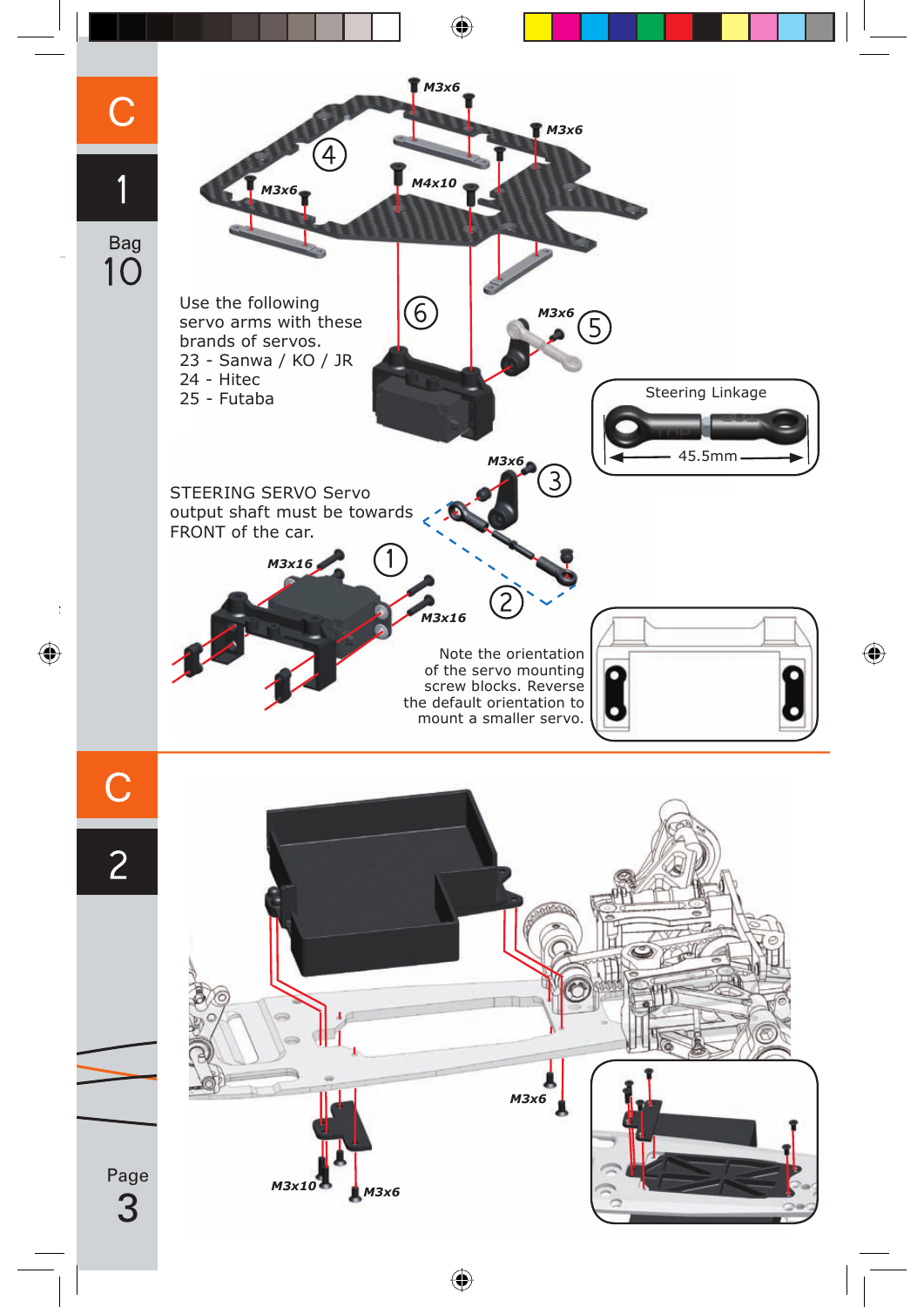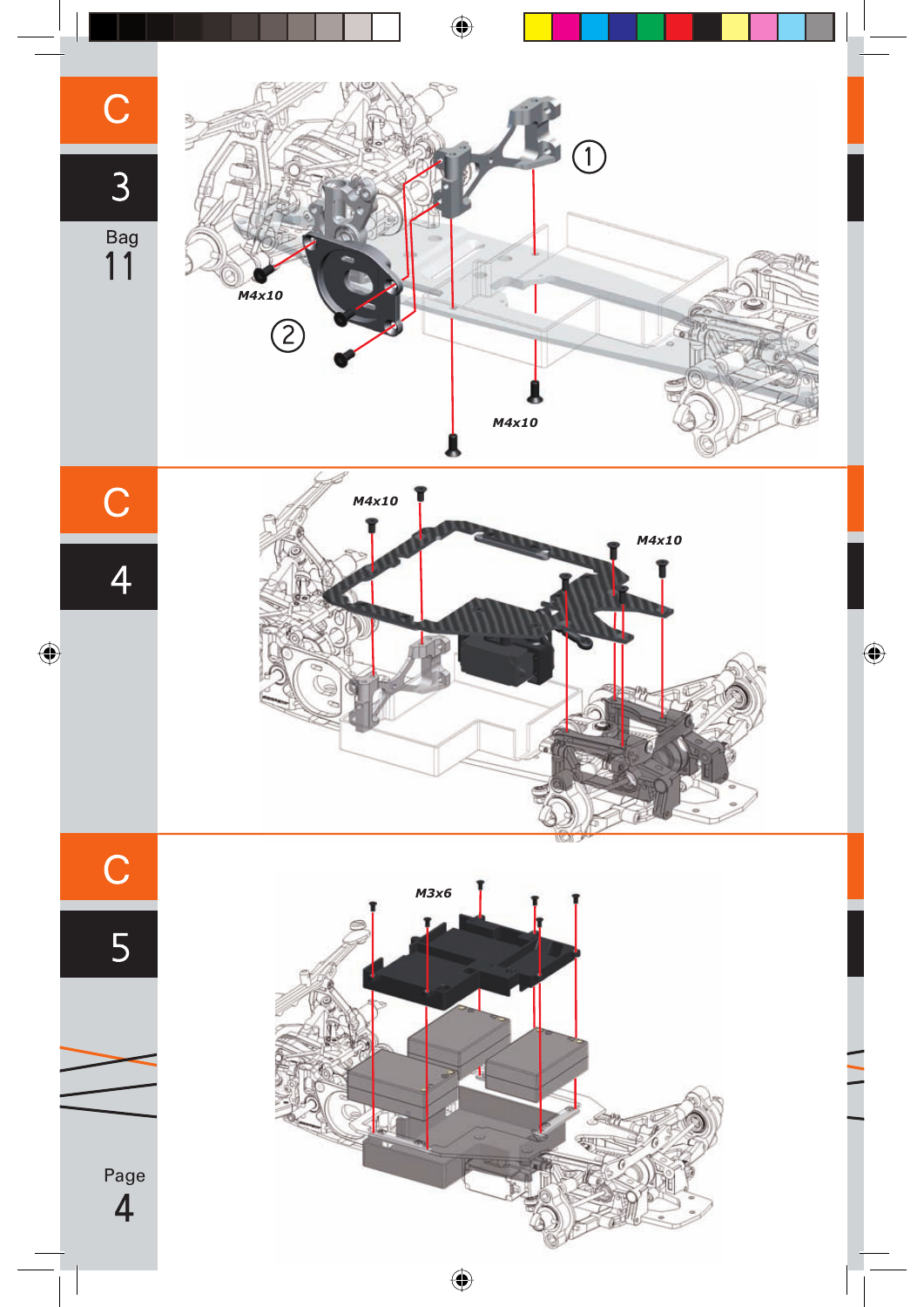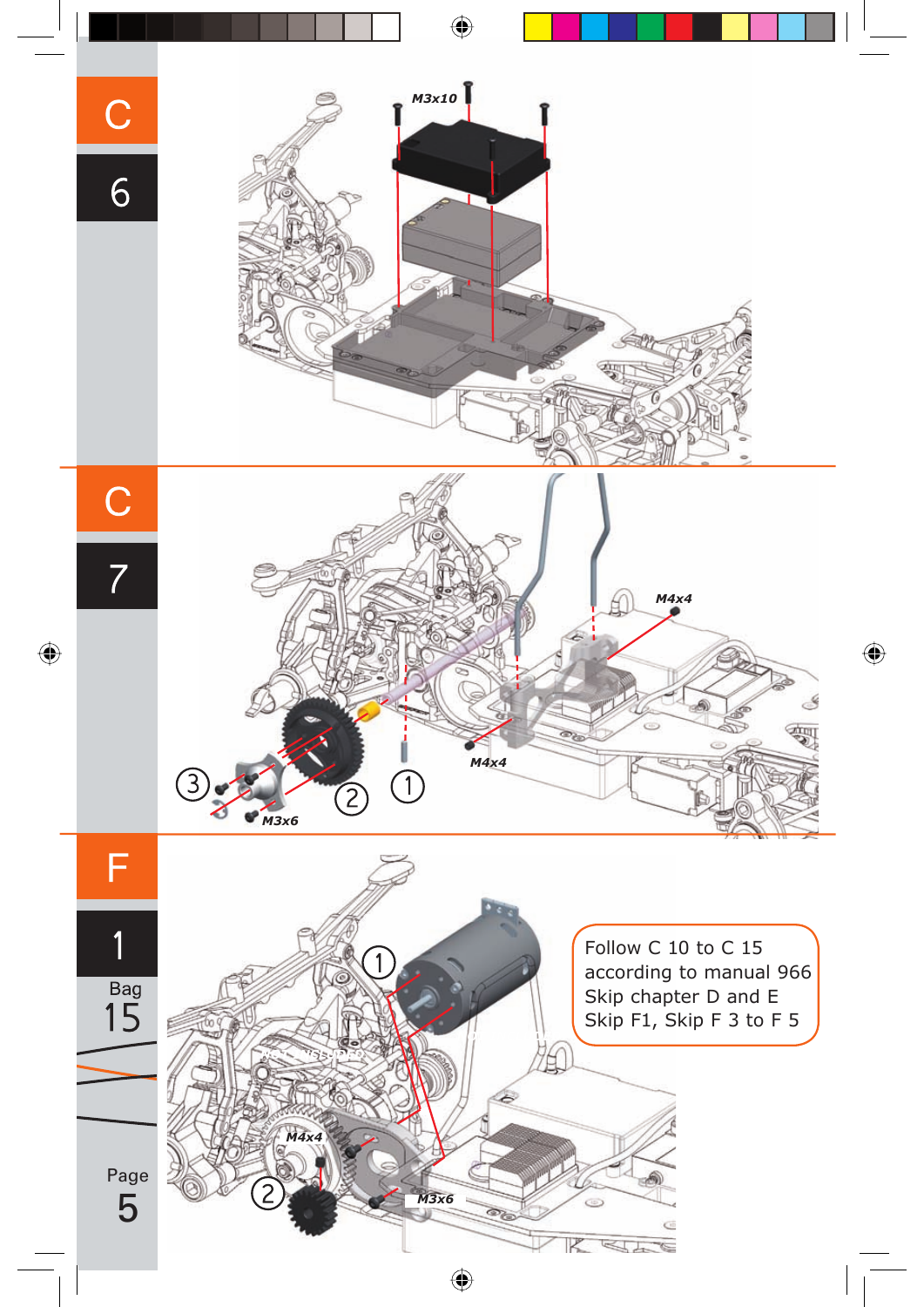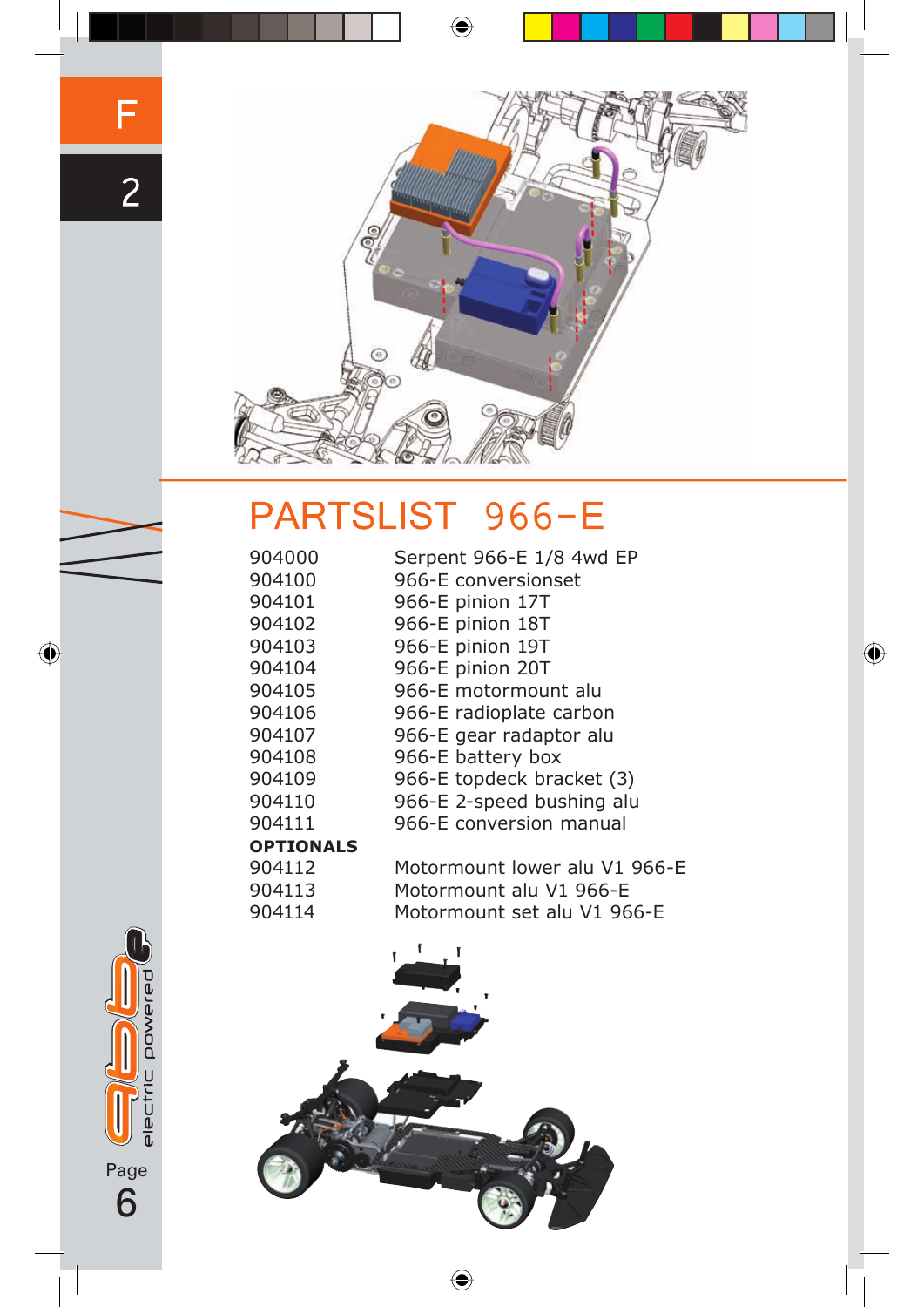

# PARTSLIST 966-E

| 904000           | Serpent 966-E 1/8 4wd EP      |
|------------------|-------------------------------|
| 904100           | 966-E conversionset           |
| 904101           | 966-E pinion 17T              |
| 904102           | 966-E pinion 18T              |
| 904103           | 966-E pinion 19T              |
| 904104           | 966-E pinion 20T              |
| 904105           | 966-E motormount alu          |
| 904106           | 966-E radioplate carbon       |
| 904107           | 966-E gear radaptor alu       |
| 904108           | 966-E battery box             |
| 904109           | 966-E topdeck bracket (3)     |
| 904110           | 966-E 2-speed bushing alu     |
| 904111           | 966-E conversion manual       |
| <b>OPTIONALS</b> |                               |
| 904112           | Motormount lower alu V1 966-E |
| 904113           | Motormount alu V1 966-E       |
| 904114           | Motormount set alu V1 966-E   |



electric powered Page 6

F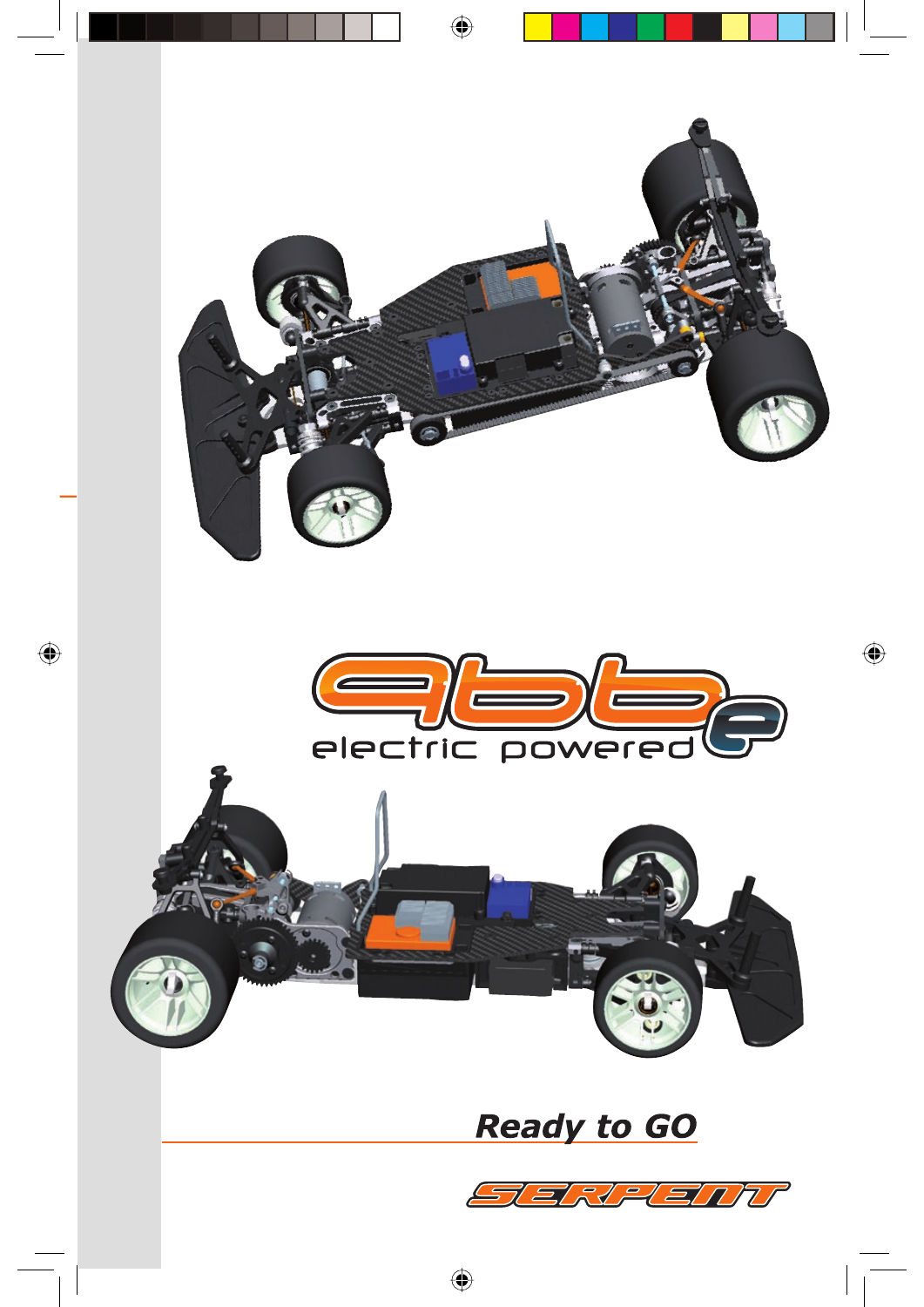

# **Ready to GO**